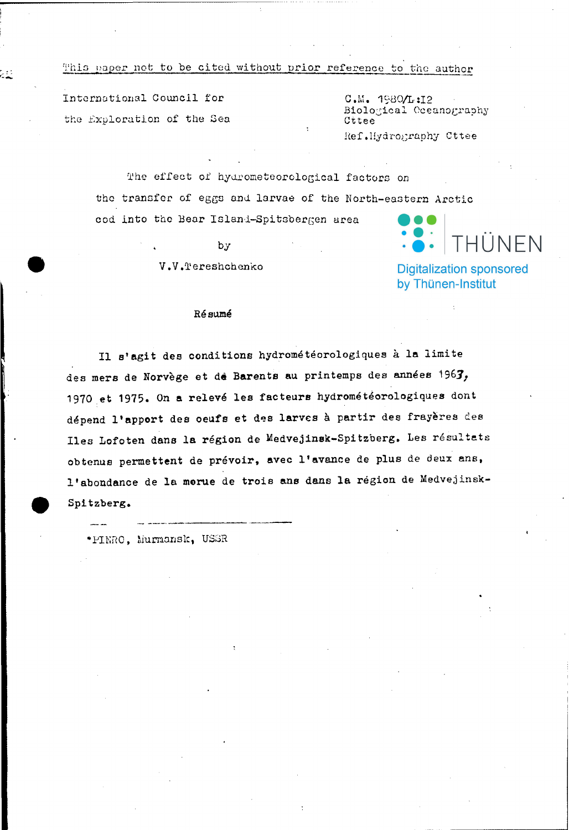## This paper not to be cited without prior reference to the author

International Council for the Exploration of the Sea

22

 $C.M. 1980/L:12$ Biological Oceanography Cttee Ref.Hydrography Cttee

The effect of hydrometeorological factors on the transfer of eggs and larvae of the North-eastern Arctic cod into the Bear Island-Spitsbergen area

by.

V.V.Tereshchenko

# THÜNFN

**Digitalization sponsored** by Thünen-Institut

#### Résumé

Il s'agit des conditions hydrométéorologiques à la limite des mers de Norvège et de Barents au printemps des années 1963, 1970 et 1975. On a relevé les facteurs hydrométéorologiques dont dépend l'apport des oeufs et des larves à partir des frayères des Iles Lofoten dans la région de Medvejinsk-Spitzberg. Les résultats obtenus permettent de prévoir, avec l'avance de plus de deux ans, l'abondance de la morue de trois ans dans la région de Medvejinsk-Spitzberg.

\*PINRO, Murmansk, USSR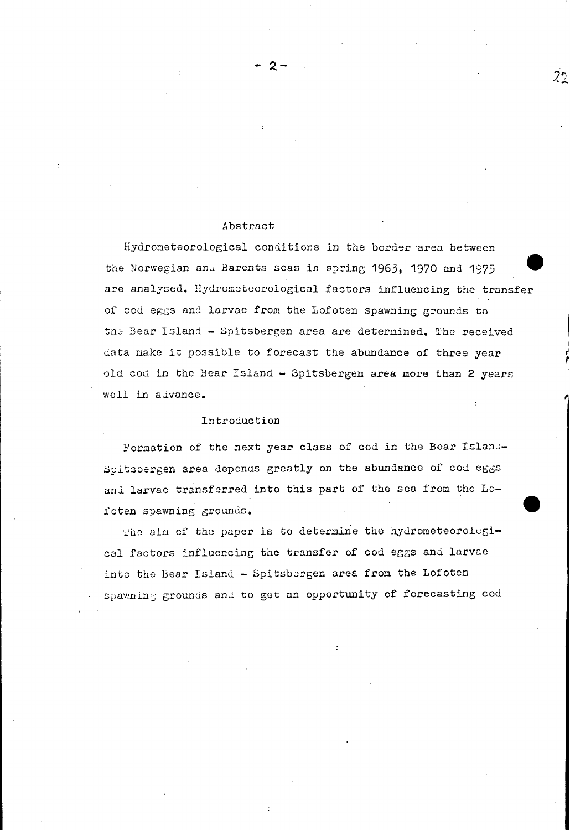#### Abstract

Hydrometeorological conditions in the border area between the Norwegian and Barents seas in spring 1963, 1970 and 1975 are analysed. Hydrometeorological factors influencing the transfer of cod eggs and larvae from the Lofoten spawning grounds to the Bear Island - Spitsbergen area are determined. The received data make it possible to forecast the abundance of three year old cod in the Bear Island - Spitsbergen area more than 2 years well in advance.

#### Introduction

Formation of the next year class of cod in the Bear Island-Spitsbergen area depends greatly on the abundance of cod eggs and larvae transferred into this part of the sea from the Lofoten spawning grounds.

The aim of the paper is to determine the hydrometeorological factors influencing the transfer of cod eggs and larvae into the Bear Island - Spitsbergen area from the Lofoten spawning grounds and to get an opportunity of forecasting cod

 $2<sup>5</sup>$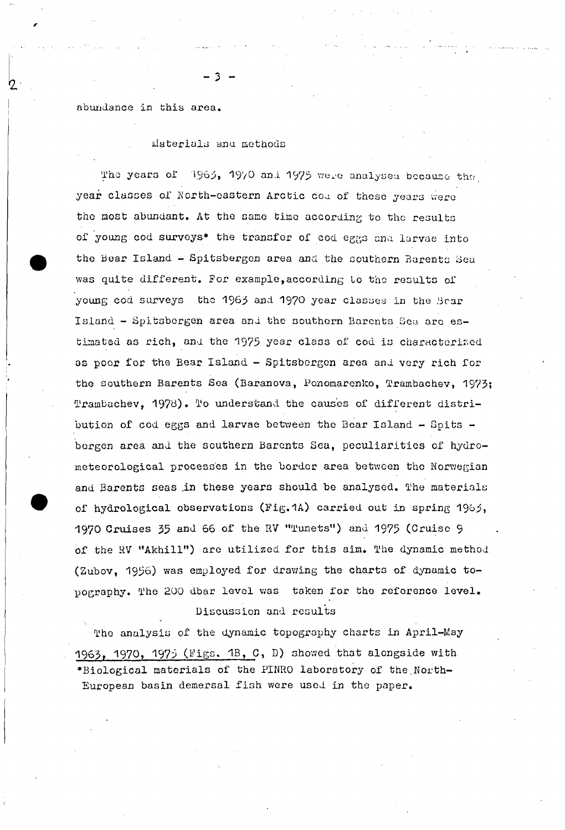abundance in this area.

Materials and methods

3

The years of 1963, 1970 and 1975 were analysed because the year classes of North-eastern Arctic cod of these years were the most abundant. At the same time according to the results of young cod surveys\* the transfer of cod eggs and larvae into the Bear Island - Spitsbergen area and the southern Barents Sea was quite different. For example, according to the results of young cod surveys the 1963 and 1970 year classes in the Bear Island - Spitsbergen area and the southern Barents Sea are estimated as rich, and the 1975 year class of cod is characterized as poor for the Bear Island - Spitsbergen area and very rich for the southern Barents Sea (Baranova, Ponomarenko, Trambachev, 1973; Trambachev, 1978). To understand the causes of different distribution of cod eggs and larvae between the Bear Island - Spits bergen area and the southern Barents Sea, peculiarities of hydrometeorological processes in the border area between the Norwegian and Barents seas in these years should be analysed. The materials of hydrological observations (Fig.1A) carried out in spring 1965, 1970 Cruises 35 and 66 of the RV "Tunets") and 1975 (Cruise 9 of the RV "Akhill") are utilized for this aim. The dynamic method (Zubov, 1956) was employed for drawing the charts of dynamic topography. The 200 dbar level was taken for the reference level. Discussion and results

The analysis of the dynamic topography charts in April-May 1963, 1970, 1975 (Figs. 1B, C, D) showed that alongside with \*Biological materials of the PINRO laboratory of the North-European basin demersal fish were used in the paper.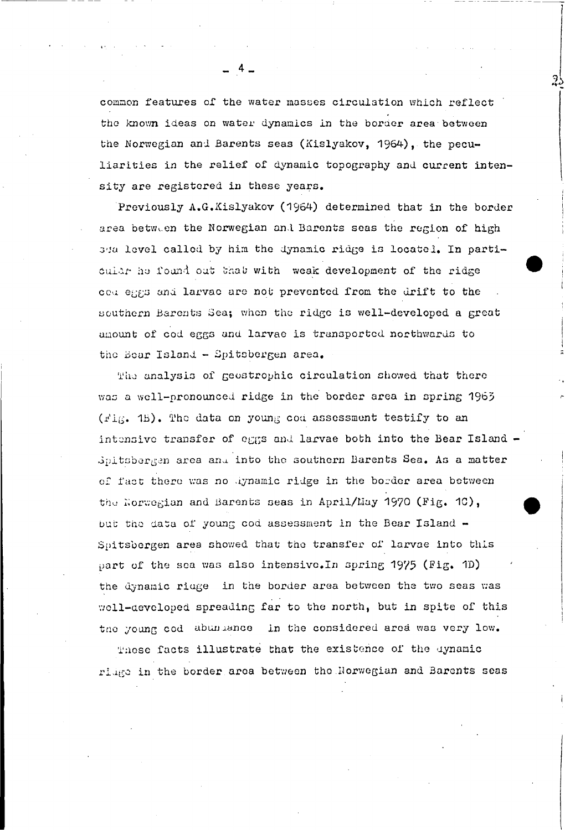common features of the water masses circulation which reflect the known ideas on water dynamics in the border area between the Norwegian and Barents seas (Kislyakov, 1964), the peculiarities in the relief of dynamic topography and current intensity are registered in these years.

Previously A.G.Kislyakov (1964) determined that in the border area between the Norwegian and Barents seas the region of high 34a level called by him the dynamic ridge is locatel. In particular he found out that with weak development of the ridge couleggs and larvac are not prevented from the drift to the southern Barents Sea; when the ridge is well-developed a great amount of cod eggs and larvae is transported northwards to the Bear Island - Spitsbergen area.

The analysis of geostrophic circulation showed that there was a well-pronounced ridge in the border area in spring 1963 (Fig. 15). The data on young cod assessment testify to an intensive transfer of eggs and larvae both into the Bear Island -Spitsbergen area and into the southern Barents Sea. As a matter of fact there was no lynamic ridge in the border area between the Norwegian and Barents seas in April/May 1970 (Fig. 10), but the data of young cod assessment in the Bear Island -Spitsbergen area showed that the transfer of larvae into this part of the sea was also intensive. In spring 1975 (Fig. 1D) the dynamic ridge in the border area between the two seas was well-developed spreading far to the north, but in spite of this the young cod abundance in the considered area was very low.

These facts illustrate that the existence of the dynamic ridge in the border area between the Norwegian and Barents seas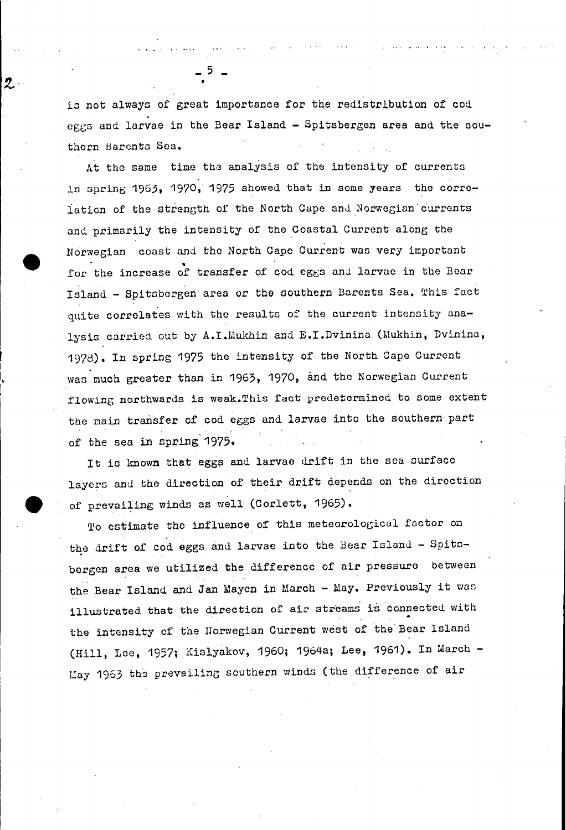is not always of great importance for the redistribution of cod eggs and larvae in the Bear Island - Spitsbergen area and the southern Barents Sea.

2

At the same time the analysis of the intensity of currents in spring 1963, 1970, 1975 showed that in some years the correlation of the strength of the North Cape and Norwegian currents and primarily the intensity of the Coastal Current along the Norwegian coast and the North Cape Current was very important for the increase of transfer of cod eggs and larvae in the Bear Island - Spitsbergen area or the southern Barents Sea. This fact quite correlates with the results of the current intensity analysis carried out by A.I. Mukhin and E.I. Dvinina (Mukhin, Dvinina, 1978). In spring 1975 the intensity of the North Cape Current was much greater than in 1963, 1970, and the Norwegian Current flowing northwards is weak. This fact predetermined to some extent the main transfer of cod eggs and larvae into the southern part of the sea in spring 1975.

It is known that eggs and larvae drift in the sea surface layers and the direction of their drift depends on the direction of prevailing winds as well (Corlett, 1965).

To estimate the influence of this meteorological factor on the drift of cod eggs and larvae into the Bear Island - Spitsbergen area we utilized the difference of air pressure between the Bear Island and Jan Mayen in March - May. Previously it was illustrated that the direction of air streams is connected with the intensity of the Norwegian Current west of the Bear Island (Hill, Lee, 1957; Kislyakov, 1960; 1964a; Lee, 1961). In March -May 1963 the prevailing southern winds (the difference of air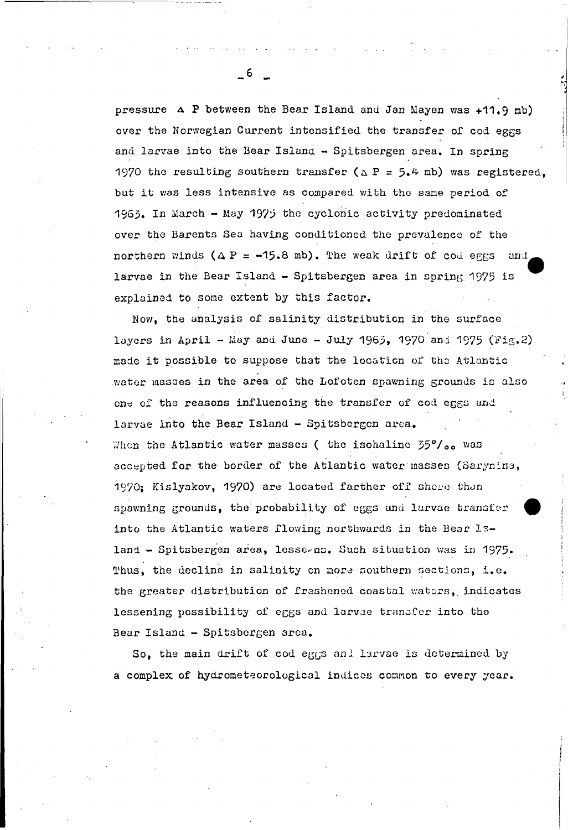pressure A P between the Bear Island and Jan Mayen was +11.9 mb) over the Norwegian Current intensified the transfer of cod eggs and larvae into the Bear Island - Spitsbergen area. In spring 1970 the resulting southern transfer ( $\triangle$  P = 5.4 mb) was registered. but it was less intensive as compared with the same period of 1963. In March - May 1975 the cyclonic activity predominated over the Barents Sea having conditioned the prevalence of the northern winds  $(\Delta P = -15.8 \text{ mb})$ . The weak drift of cod eggs and larvae in the Bear Island - Spitsbergen area in spring 1975 is explained to some extent by this factor.

Now, the analysis of salinity distribution in the surface layers in April - May and June - July 1965, 1970 and 1975 (Fig.2) made it possible to suppose that the location of the Atlantic water masses in the area of the Lofoten spawning grounds is also one of the reasons influencing the transfer of cod eggs and larvae into the Bear Island - Spitsbergen area. When the Atlantic water masses ( the isohaline 35%/00 was: accepted for the border of the Atlantic water masses (Sarynina, 1970: Kislyakov, 1970) are located farther off shore than spawning grounds, the probability of eggs and larvae transfer into the Atlantic waters flowing northwards in the Bear Island - Spitsbergen area, lesse-ns. Such situation was in 1975. Thus, the decline in salinity on more southern sections, i.e. the greater distribution of freshened coastal waters, indicates lessening possibility of eggs and larvae transfer into the Bear Island - Spitsbergen arca.

So, the main drift of cod eggs and larvae is determined by a complex of hydrometeorological indices common to every year.

 $-6$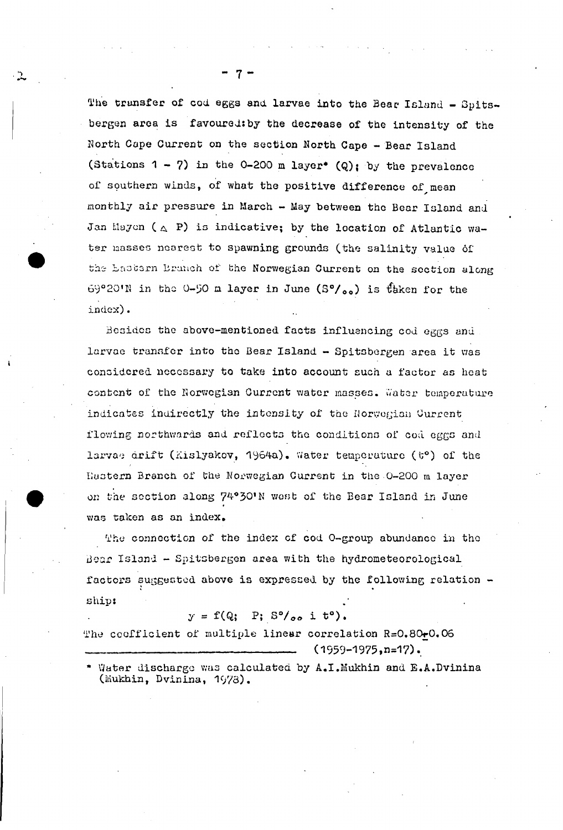The transfer of cod eggs and larvae into the Bear Island - Spitsbergen area is favoured: by the decrease of the intensity of the North Cape Current on the section North Cape - Bear Island (Stations  $1 - 7$ ) in the 0-200 m layer\* (Q); by the prevalence of southern winds, of what the positive difference of mean monthly air pressure in March - May between the Bear Island and Jan Mayon ( $\triangle$  P) is indicative; by the location of Atlantic water masses nearest to spawning grounds (the salinity value of the Lastern Branch of the Norwegian Current on the section along 69°20'N in the 0-50 m layer in June (S°/00) is taken for the index).

Besides the above-mentioned facts influencing cod eggs and larvae transfer into the Bear Island - Spitsbergen area it was considered necessary to take into account such a factor as heat content of the Norwegian Current water masses. Water temperature indicates indirectly the intensity of the Norwegian Current flowing northwards and reflects the conditions of cod eggs and larvae drift (Kislyakov, 1964a). Water temperature (t°) of the Hastern Branch of the Norwegian Current in the 0-200 m layer on the section along 74°30'N west of the Bear Island in June was taken as an index.

The connection of the index of cod O-group abundance in the Bear Island - Spitsbergen area with the hydrometeorological factors suggested above is expressed by the following relation ship:

### $y = f(Q; P; S^0/_{oo} i t^o).$

The coofficient of multiple linear correlation R=0.80-0.06  $(1959 - 1975, n = 17)$ .

\* Water discharge was calculated by A.I.Mukhin and E.A.Dvinina (Mukhin, Dvinina, 1978).

7 -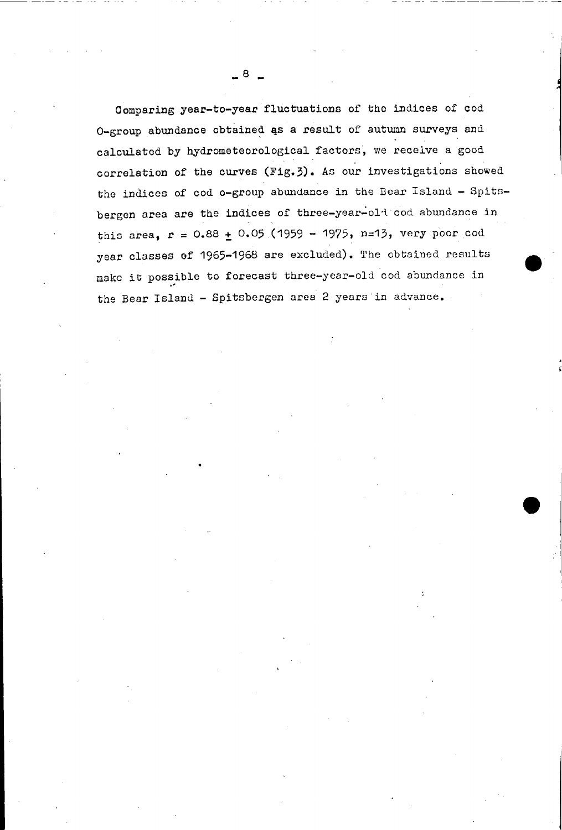Comparing year-to-year fluctuations of the indices of cod  $O$ -group abundance obtained as a result of autumn surveys and calculated by hydrometeorological factors, we receive a good correlation of the curves (Fig. 3). As our investigations showed the indices of cod o-group abundance in the Bear Island - Spitsbergen area are the indices of three-year-old cod abundance in this area,  $r = 0.88 + 0.05$  (1959 - 1975, n=13, very poor cod year classes of 1965-1968 are excluded). The obtained results make it possible to forecast three-year-old cod abundance in the Bear Island - Spitsbergen area 2 years in advance.

•

 $\overline{8}$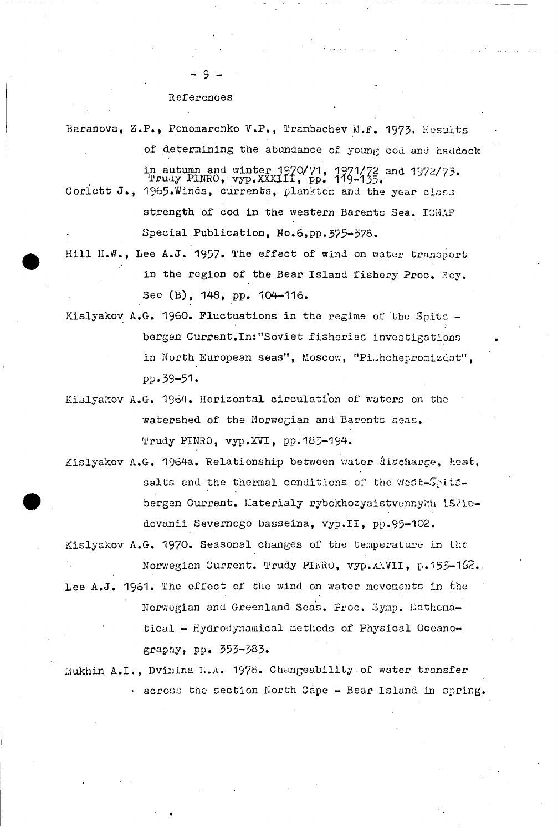References

9

Baranova, Z.P., Ponomarenko V.P., Trambachev M.F. 1973. Results of determining the abundance of young cod and haddock in autumn and winter 1970/71, 1971/72 and 1972/73.<br>Trudy PINRO, vyp.XXXIII, pp. 119-135. Coriett J., 1965.Winds, currents, plankton and the year class strength of cod in the western Barents Sea. ICNAF Special Publication, No.6, pp. 375-378.

- Hill H.W., Lee A.J. 1957. The effect of wind on water transport in the region of the Bear Island fishery Proc. Roy. See (B), 148, pp. 104-116.
- Kislyakov A.G. 1960. Fluctuations in the regime of the Spits bergen Current. In: "Soviet fisheries investigations in North European seas", Moscow, "Pishchepromizdat", pp.39-51.
- Kislyakov A.G. 1964. Horizontal circulation of waters on the watershed of the Norwegian and Barents seas. Trudy PINRO, vyp.XVI, pp.183-194.
- Kislyakov A.G. 1964a. Relationship between water âischarge, heat, salts and the thermal conditions of the West-Spitsbergen Current. Materialy rybokhozyaistvennykh 15216dovanii Severnogo basseina, vyp.II, pp.95-102.
- Kislyakov A.G. 1970. Seasonal changes of the temperature in the Norwegian Current. Trudy PINRO, vyp.XAVII, p.155-162.
- Lee A.J. 1961. The effect of the wind on water movements in the Norwegian and Greenland Seas. Proc. Symp. Lathematical - Hydrodynamical methods of Physical Oceanography, pp. 353-383.

Mukhin A.I., Dvinina H.A. 1978. Changeability of water transfer . across the section North Cape - Bear Island in spring.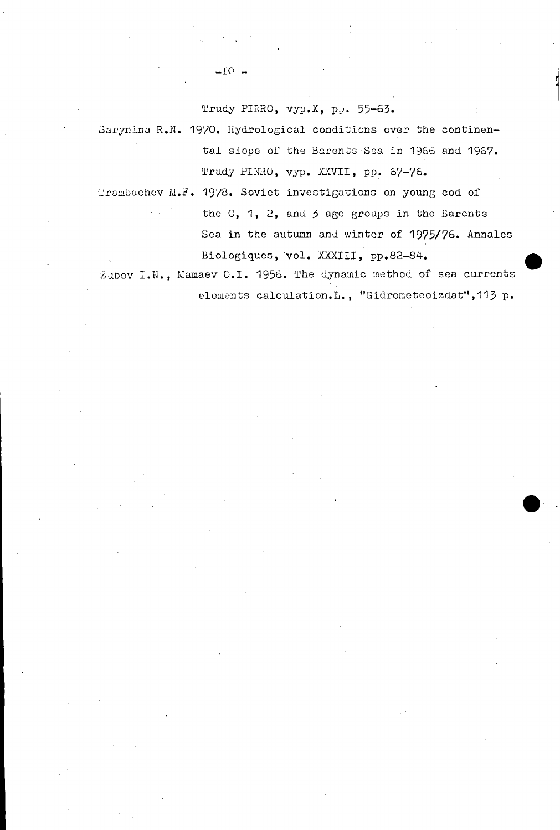Trudy PIRRO, vyp.X, p., 55-63.

Sarynina R.N. 1970. Hydrological conditions over the continental slope of the Barents Sea in 1966 and 1967. Trudy PINRO, vyp. XXVII, pp. 67-76.

Trambachev M.F. 1978. Soviet investigations on young cod of the  $0$ , 1, 2, and 3 age groups in the Barents Sea in the autumn and winter of 1975/76. Annales Biologiques, vol. XXXIII, pp.82-84.

Zubov I.N., Mamaev O.I. 1956. The dynamic method of sea currents elements calculation.L., "Gidrometeoizdat", 113 p.

 $-IO -$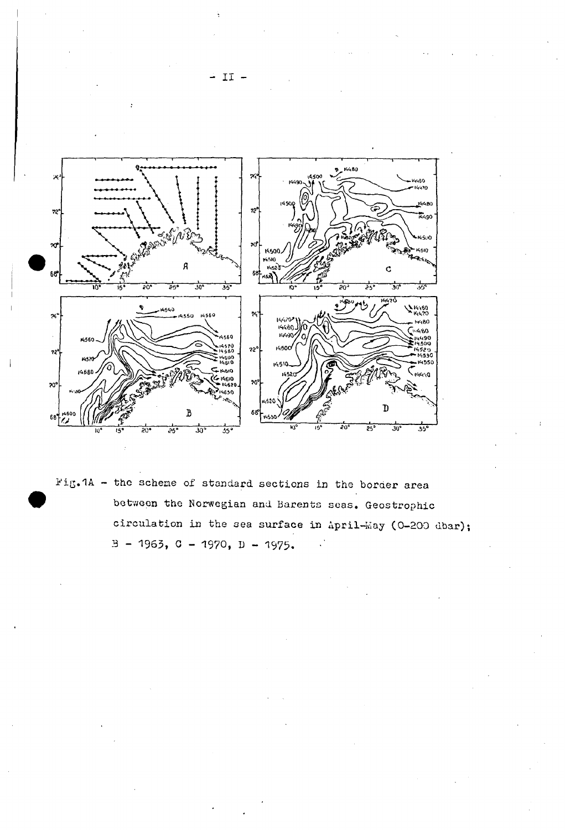

Fig.1A - the scheme of standard sections in the border area between the Norwegian and Barents seas. Geostrophic circulation in the sea surface in April-May (0-200 dbar);  $B - 1963$ , C - 1970, D - 1975.